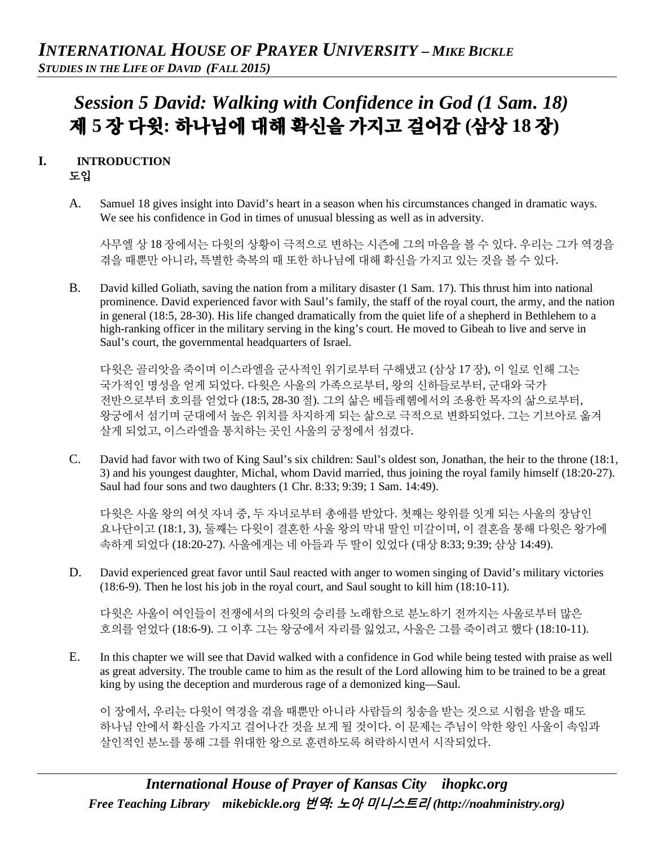# *Session 5 David: Walking with Confidence in God (1 Sam. 18)* 제 **5** 장 다윗**:** 하나님에 대해 확신을 가지고 걸어감 **(**삼상 **18** 장**)**

## **I. INTRODUCTION** 도입

A. Samuel 18 gives insight into David's heart in a season when his circumstances changed in dramatic ways. We see his confidence in God in times of unusual blessing as well as in adversity.

사무엘 상 18 장에서는 다윗의 상황이 극적으로 변하는 시즌에 그의 마음을 볼 수 있다. 우리는 그가 역경을 겪을 때뿐만 아니라, 특별한 축복의 때 또한 하나님에 대해 확신을 가지고 있는 것을 볼 수 있다.

B. David killed Goliath, saving the nation from a military disaster (1 Sam. 17). This thrust him into national prominence. David experienced favor with Saul's family, the staff of the royal court, the army, and the nation in general (18:5, 28-30). His life changed dramatically from the quiet life of a shepherd in Bethlehem to a high-ranking officer in the military serving in the king's court. He moved to Gibeah to live and serve in Saul's court, the governmental headquarters of Israel.

다윗은 골리앗을 죽이며 이스라엘을 군사적인 위기로부터 구해냈고 (삼상 17 장), 이 일로 인해 그는 국가적인 명성을 얻게 되었다. 다윗은 사울의 가족으로부터, 왕의 신하들로부터, 군대와 국가 전반으로부터 호의를 얻었다 (18:5, 28-30 절). 그의 삶은 베들레헴에서의 조용한 목자의 삶으로부터, 왕궁에서 섬기며 군대에서 높은 위치를 차지하게 되는 삶으로 극적으로 변화되었다. 그는 기브아로 옮겨 살게 되었고, 이스라엘을 통치하는 곳인 사울의 궁정에서 섬겼다.

C. David had favor with two of King Saul's six children: Saul's oldest son, Jonathan, the heir to the throne (18:1, 3) and his youngest daughter, Michal, whom David married, thus joining the royal family himself (18:20-27). Saul had four sons and two daughters (1 Chr. 8:33; 9:39; 1 Sam. 14:49).

다윗은 사울 왕의 여섯 자녀 중, 두 자녀로부터 총애를 받았다. 첫째는 왕위를 잇게 되는 사울의 장남인 요나단이고 (18:1, 3), 둘째는 다윗이 결혼한 사울 왕의 막내 딸인 미갈이며, 이 결혼을 통해 다윗은 왕가에 속하게 되었다 (18:20-27). 사울에게는 네 아들과 두 딸이 있었다 (대상 8:33; 9:39; 삼상 14:49).

D. David experienced great favor until Saul reacted with anger to women singing of David's military victories (18:6-9). Then he lost his job in the royal court, and Saul sought to kill him (18:10-11).

다윗은 사울이 여인들이 전쟁에서의 다윗의 승리를 노래함으로 분노하기 전까지는 사울로부터 많은 호의를 얻었다 (18:6-9). 그 이후 그는 왕궁에서 자리를 잃었고, 사울은 그를 죽이려고 했다 (18:10-11).

E. In this chapter we will see that David walked with a confidence in God while being tested with praise as well as great adversity. The trouble came to him as the result of the Lord allowing him to be trained to be a great king by using the deception and murderous rage of a demonized king—Saul.

이 장에서, 우리는 다윗이 역경을 겪을 때뿐만 아니라 사람들의 칭송을 받는 것으로 시험을 받을 때도 하나님 안에서 확신을 가지고 걸어나간 것을 보게 될 것이다. 이 문제는 주님이 악한 왕인 사울이 속임과 살인적인 분노를 통해 그를 위대한 왕으로 훈련하도록 허락하시면서 시작되었다.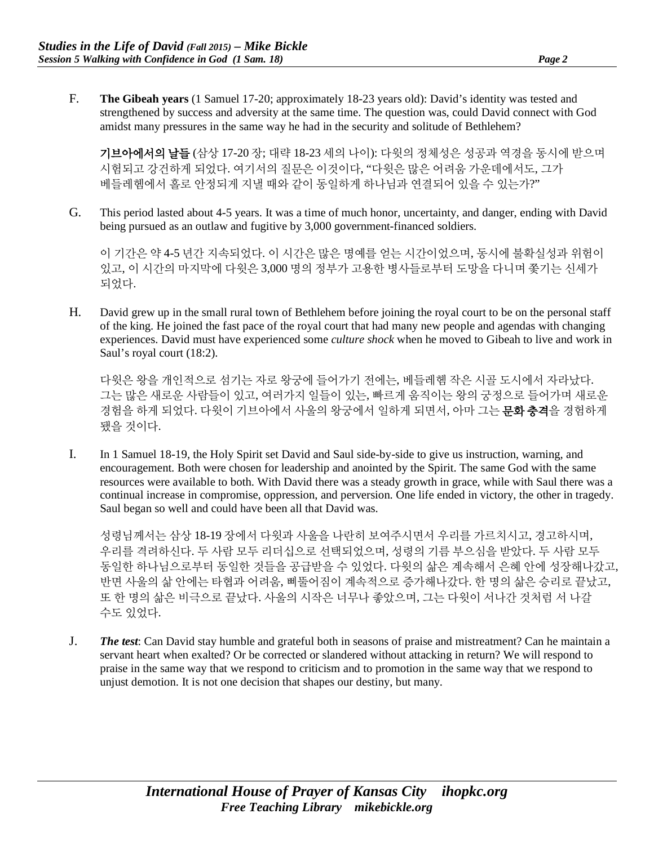F. **The Gibeah years** (1 Samuel 17-20; approximately 18-23 years old): David's identity was tested and strengthened by success and adversity at the same time. The question was, could David connect with God amidst many pressures in the same way he had in the security and solitude of Bethlehem?

기브아에서의 날들 (삼상 17-20 장; 대략 18-23 세의 나이): 다윗의 정체성은 성공과 역경을 동시에 받으며 시험되고 강건하게 되었다. 여기서의 질문은 이것이다, "다윗은 많은 어려움 가운데에서도, 그가 베들레헴에서 홀로 안정되게 지낼 때와 같이 동일하게 하나님과 연결되어 있을 수 있는가?"

G. This period lasted about 4-5 years. It was a time of much honor, uncertainty, and danger, ending with David being pursued as an outlaw and fugitive by 3,000 government-financed soldiers.

이 기간은 약 4-5 년간 지속되었다. 이 시간은 많은 명예를 얻는 시간이었으며, 동시에 불확실성과 위험이 있고, 이 시간의 마지막에 다윗은 3,000 명의 정부가 고용한 병사들로부터 도망을 다니며 쫓기는 신세가 되었다.

H. David grew up in the small rural town of Bethlehem before joining the royal court to be on the personal staff of the king. He joined the fast pace of the royal court that had many new people and agendas with changing experiences. David must have experienced some *culture shock* when he moved to Gibeah to live and work in Saul's royal court (18:2).

다윗은 왕을 개인적으로 섬기는 자로 왕궁에 들어가기 전에는, 베들레헴 작은 시골 도시에서 자라났다. 그는 많은 새로운 사람들이 있고, 여러가지 일들이 있는, 빠르게 움직이는 왕의 궁정으로 들어가며 새로운 경험을 하게 되었다. 다윗이 기브아에서 사울의 왕궁에서 일하게 되면서, 아마 그는 **문화 충격**을 경험하게 됐을 것이다.

I. In 1 Samuel 18-19, the Holy Spirit set David and Saul side-by-side to give us instruction, warning, and encouragement. Both were chosen for leadership and anointed by the Spirit. The same God with the same resources were available to both. With David there was a steady growth in grace, while with Saul there was a continual increase in compromise, oppression, and perversion. One life ended in victory, the other in tragedy. Saul began so well and could have been all that David was.

성령님께서는 삼상 18-19 장에서 다윗과 사울을 나란히 보여주시면서 우리를 가르치시고, 경고하시며, 우리를 격려하신다. 두 사람 모두 리더십으로 선택되었으며, 성령의 기름 부으심을 받았다. 두 사람 모두 동일한 하나님으로부터 동일한 것들을 공급받을 수 있었다. 다윗의 삶은 계속해서 은혜 안에 성장해나갔고, 반면 사울의 삶 안에는 타협과 어려움, 삐뚤어짐이 계속적으로 증가해나갔다. 한 명의 삶은 승리로 끝났고, 또 한 명의 삶은 비극으로 끝났다. 사울의 시작은 너무나 좋았으며, 그는 다윗이 서나간 것처럼 서 나갈 수도 있었다.

J. *The test*: Can David stay humble and grateful both in seasons of praise and mistreatment? Can he maintain a servant heart when exalted? Or be corrected or slandered without attacking in return? We will respond to praise in the same way that we respond to criticism and to promotion in the same way that we respond to unjust demotion. It is not one decision that shapes our destiny, but many.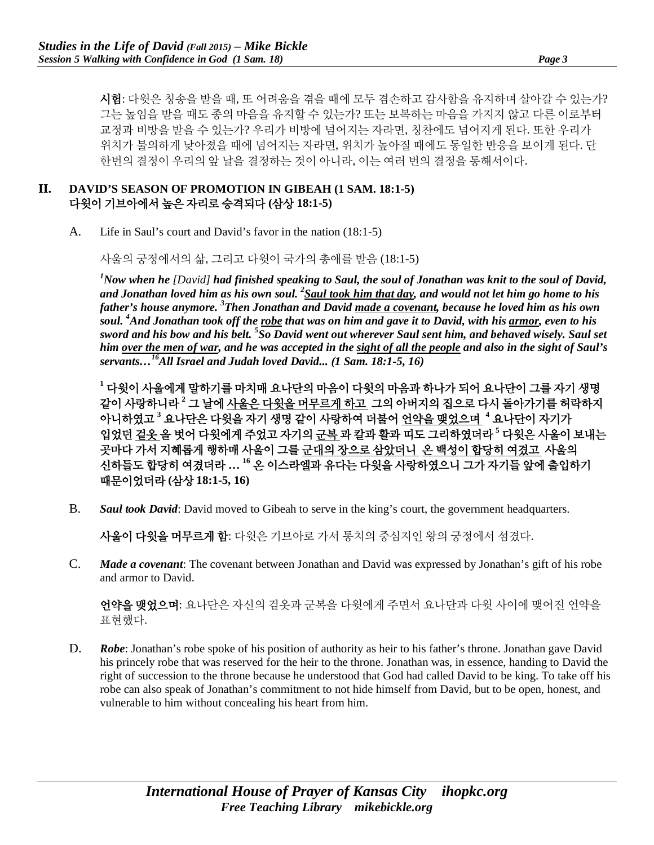시험: 다윗은 칭송을 받을 때, 또 어려움을 겪을 때에 모두 겸손하고 감사함을 유지하며 살아갈 수 있는가? 그는 높임을 받을 때도 종의 마음을 유지할 수 있는가? 또는 보복하는 마음을 가지지 않고 다른 이로부터 교정과 비방을 받을 수 있는가? 우리가 비방에 넘어지는 자라면, 칭찬에도 넘어지게 된다. 또한 우리가 위치가 불의하게 낮아졌을 때에 넘어지는 자라면, 위치가 높아질 때에도 동일한 반응을 보이게 된다. 단 한번의 결정이 우리의 앞 날을 결정하는 것이 아니라, 이는 여러 번의 결정을 통해서이다.

#### **II. DAVID'S SEASON OF PROMOTION IN GIBEAH (1 SAM. 18:1-5)**  다윗이 기브아에서 높은 자리로 승격되다 **(**삼상 **18:1-5)**

A. Life in Saul's court and David's favor in the nation (18:1-5)

사울의 궁정에서의 삶, 그리고 다윗이 국가의 총애를 받음 (18:1-5)

*1 Now when he [David] had finished speaking to Saul, the soul of Jonathan was knit to the soul of David, and Jonathan loved him as his own soul. 2 Saul took him that day, and would not let him go home to his father's house anymore. 3 Then Jonathan and David made a covenant, because he loved him as his own soul. 4 And Jonathan took off the robe that was on him and gave it to David, with his armor, even to his sword and his bow and his belt. 5 So David went out wherever Saul sent him, and behaved wisely. Saul set him over the men of war, and he was accepted in the sight of all the people and also in the sight of Saul's servants…16All Israel and Judah loved David... (1 Sam. 18:1-5, 16)* 

**<sup>1</sup>** 다윗이 사울에게 말하기를 마치매 요나단의 마음이 다윗의 마음과 하나가 되어 요나단이 그를 자기 생명 같이 사랑하니라 **<sup>2</sup>** 그 날에 사울은 다윗을 머무르게 하고 그의 아버지의 집으로 다시 돌아가기를 허락하지 아니하였고 **<sup>3</sup>** 요나단은 다윗을 자기 생명 같이 사랑하여 더불어 언약을 맺었으며 **<sup>4</sup>** 요나단이 자기가 입었던 겉옷 을 벗어 다윗에게 주었고 자기의 군복 과 칼과 활과 띠도 그리하였더라 **<sup>5</sup>** 다윗은 사울이 보내는 곳마다 가서 지혜롭게 행하매 사울이 그를 군대의 장으로 삼았더니 온 백성이 합당히 여겼고 사울의 신하들도 합당히 여겼더라 **… <sup>16</sup>** 온 이스라엘과 유다는 다윗을 사랑하였으니 그가 자기들 앞에 출입하기 때문이었더라 **(**삼상 **18:1-5, 16)**

B. *Saul took David*: David moved to Gibeah to serve in the king's court, the government headquarters.

사울이 다윗을 머무르게 함: 다윗은 기브아로 가서 통치의 중심지인 왕의 궁정에서 섬겼다.

C. *Made a covenant*: The covenant between Jonathan and David was expressed by Jonathan's gift of his robe and armor to David.

언약을 맺었으며: 요나단은 자신의 겉옷과 군복을 다윗에게 주면서 요나단과 다윗 사이에 맺어진 언약을 표현했다.

D. **Robe:** Jonathan's robe spoke of his position of authority as heir to his father's throne. Jonathan gave David his princely robe that was reserved for the heir to the throne. Jonathan was, in essence, handing to David the right of succession to the throne because he understood that God had called David to be king. To take off his robe can also speak of Jonathan's commitment to not hide himself from David, but to be open, honest, and vulnerable to him without concealing his heart from him.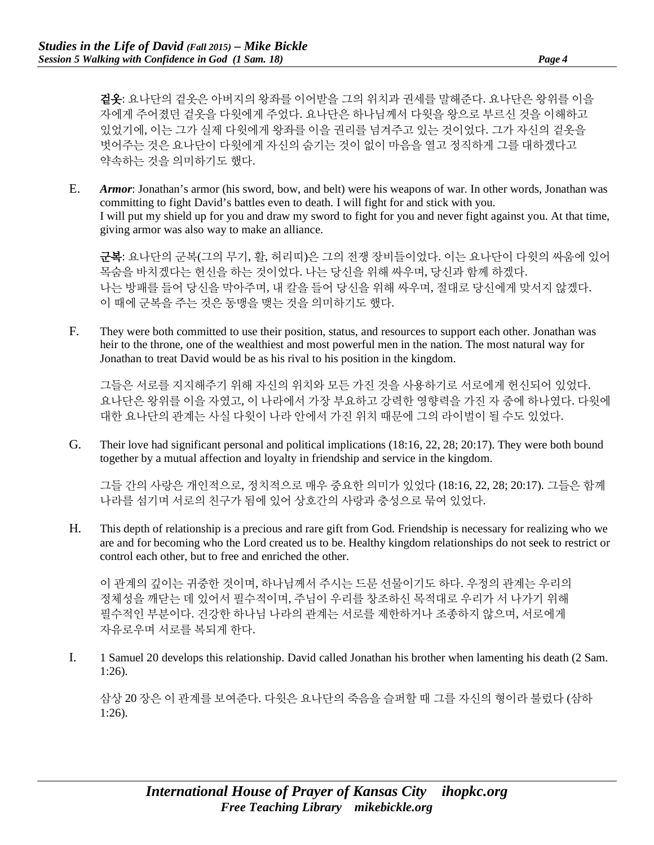겉옷: 요나단의 겉옷은 아버지의 왕좌를 이어받을 그의 위치과 권세를 말해준다. 요나단은 왕위를 이을 자에게 주어졌던 겉옷을 다윗에게 주었다. 요나단은 하나님께서 다윗을 왕으로 부르신 것을 이해하고 있었기에, 이는 그가 실제 다윗에게 왕좌를 이을 권리를 넘겨주고 있는 것이었다. 그가 자신의 겉옷을 벗어주는 것은 요나단이 다윗에게 자신의 숨기는 것이 없이 마음을 열고 정직하게 그를 대하겠다고 약속하는 것을 의미하기도 했다.

E. *Armor*: Jonathan's armor (his sword, bow, and belt) were his weapons of war. In other words, Jonathan was committing to fight David's battles even to death. I will fight for and stick with you. I will put my shield up for you and draw my sword to fight for you and never fight against you. At that time, giving armor was also way to make an alliance.

군복: 요나단의 군복(그의 무기, 활, 허리띠)은 그의 전쟁 장비들이었다. 이는 요나단이 다윗의 싸움에 있어 목숨을 바치겠다는 헌신을 하는 것이었다. 나는 당신을 위해 싸우며, 당신과 함께 하겠다. 나는 방패를 들어 당신을 막아주며, 내 칼을 들어 당신을 위해 싸우며, 절대로 당신에게 맞서지 않겠다. 이 때에 군복을 주는 것은 동맹을 맺는 것을 의미하기도 했다.

F. They were both committed to use their position, status, and resources to support each other. Jonathan was heir to the throne, one of the wealthiest and most powerful men in the nation. The most natural way for Jonathan to treat David would be as his rival to his position in the kingdom.

그들은 서로를 지지해주기 위해 자신의 위치와 모든 가진 것을 사용하기로 서로에게 헌신되어 있었다. 요나단은 왕위를 이을 자였고, 이 나라에서 가장 부요하고 강력한 영향력을 가진 자 중에 하나였다. 다윗에 대한 요나단의 관계는 사실 다윗이 나라 안에서 가진 위치 때문에 그의 라이벌이 될 수도 있었다.

G. Their love had significant personal and political implications (18:16, 22, 28; 20:17). They were both bound together by a mutual affection and loyalty in friendship and service in the kingdom.

그들 간의 사랑은 개인적으로, 정치적으로 매우 중요한 의미가 있었다 (18:16, 22, 28; 20:17). 그들은 함께 나라를 섬기며 서로의 친구가 됨에 있어 상호간의 사랑과 충성으로 묶여 있었다.

H. This depth of relationship is a precious and rare gift from God. Friendship is necessary for realizing who we are and for becoming who the Lord created us to be. Healthy kingdom relationships do not seek to restrict or control each other, but to free and enriched the other.

이 관계의 깊이는 귀중한 것이며, 하나님께서 주시는 드문 선물이기도 하다. 우정의 관계는 우리의 정체성을 깨닫는 데 있어서 필수적이며, 주님이 우리를 창조하신 목적대로 우리가 서 나가기 위해 필수적인 부분이다. 건강한 하나님 나라의 관계는 서로를 제한하거나 조종하지 않으며, 서로에게 자유로우며 서로를 복되게 한다.

I. 1 Samuel 20 develops this relationship. David called Jonathan his brother when lamenting his death (2 Sam. 1:26).

삼상 20 장은 이 관계를 보여준다. 다윗은 요나단의 죽음을 슬퍼할 때 그를 자신의 형이라 불렀다 (삼하 1:26).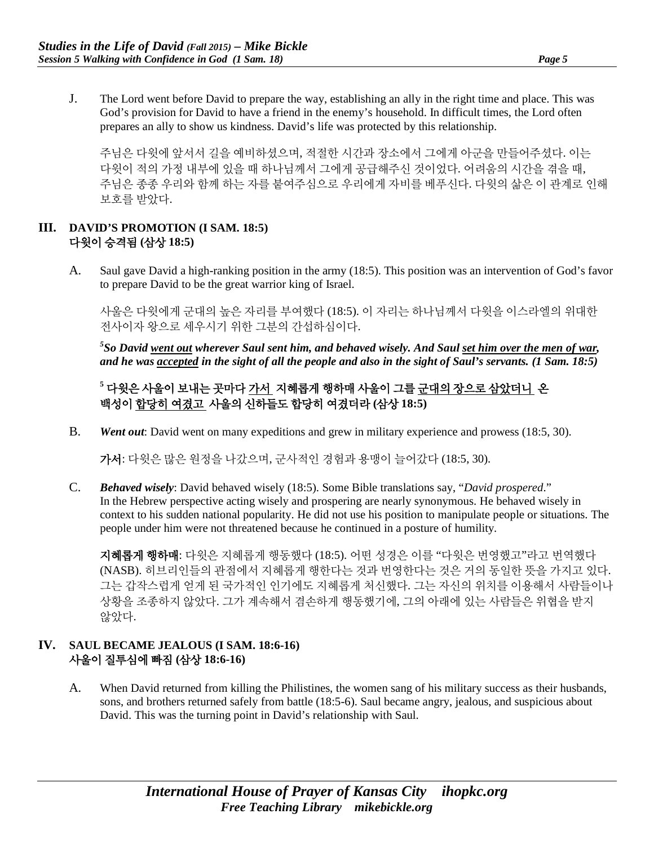J. The Lord went before David to prepare the way, establishing an ally in the right time and place. This was God's provision for David to have a friend in the enemy's household. In difficult times, the Lord often prepares an ally to show us kindness. David's life was protected by this relationship.

주님은 다윗에 앞서서 길을 예비하셨으며, 적절한 시간과 장소에서 그에게 아군을 만들어주셨다. 이는 다윗이 적의 가정 내부에 있을 때 하나님께서 그에게 공급해주신 것이었다. 어려움의 시간을 겪을 때, 주님은 종종 우리와 함께 하는 자를 붙여주심으로 우리에게 자비를 베푸신다. 다윗의 삶은 이 관계로 인해 보호를 받았다.

# **III. DAVID'S PROMOTION (I SAM. 18:5)**  다윗이 승격됨 **(**삼상 **18:5)**

A. Saul gave David a high-ranking position in the army (18:5). This position was an intervention of God's favor to prepare David to be the great warrior king of Israel.

사울은 다윗에게 군대의 높은 자리를 부여했다 (18:5). 이 자리는 하나님께서 다윗을 이스라엘의 위대한 전사이자 왕으로 세우시기 위한 그분의 간섭하심이다.

*5 So David went out wherever Saul sent him, and behaved wisely. And Saul set him over the men of war, and he was accepted in the sight of all the people and also in the sight of Saul's servants. (1 Sam. 18:5)*

**<sup>5</sup>** 다윗은 사울이 보내는 곳마다 가서 지혜롭게 행하매 사울이 그를 군대의 장으로 삼았더니 온 백성이 합당히 여겼고 사울의 신하들도 합당히 여겼더라 **(**삼상 **18:5)**

B. *Went out*: David went on many expeditions and grew in military experience and prowess (18:5, 30).

가서: 다윗은 많은 원정을 나갔으며, 군사적인 경험과 용맹이 늘어갔다 (18:5, 30).

C. *Behaved wisely*: David behaved wisely (18:5). Some Bible translations say, "*David prospered*." In the Hebrew perspective acting wisely and prospering are nearly synonymous. He behaved wisely in context to his sudden national popularity. He did not use his position to manipulate people or situations. The people under him were not threatened because he continued in a posture of humility.

지혜롭게 행하매: 다윗은 지혜롭게 행동했다 (18:5). 어떤 성경은 이를 "다윗은 번영했고"라고 번역했다 (NASB). 히브리인들의 관점에서 지혜롭게 행한다는 것과 번영한다는 것은 거의 동일한 뜻을 가지고 있다. 그는 갑작스럽게 얻게 된 국가적인 인기에도 지혜롭게 처신했다. 그는 자신의 위치를 이용해서 사람들이나 상황을 조종하지 않았다. 그가 계속해서 겸손하게 행동했기에, 그의 아래에 있는 사람들은 위협을 받지 않았다.

### **IV. SAUL BECAME JEALOUS (I SAM. 18:6-16)** 사울이 질투심에 빠짐 **(**삼상 **18:6-16)**

A. When David returned from killing the Philistines, the women sang of his military success as their husbands, sons, and brothers returned safely from battle (18:5-6). Saul became angry, jealous, and suspicious about David. This was the turning point in David's relationship with Saul.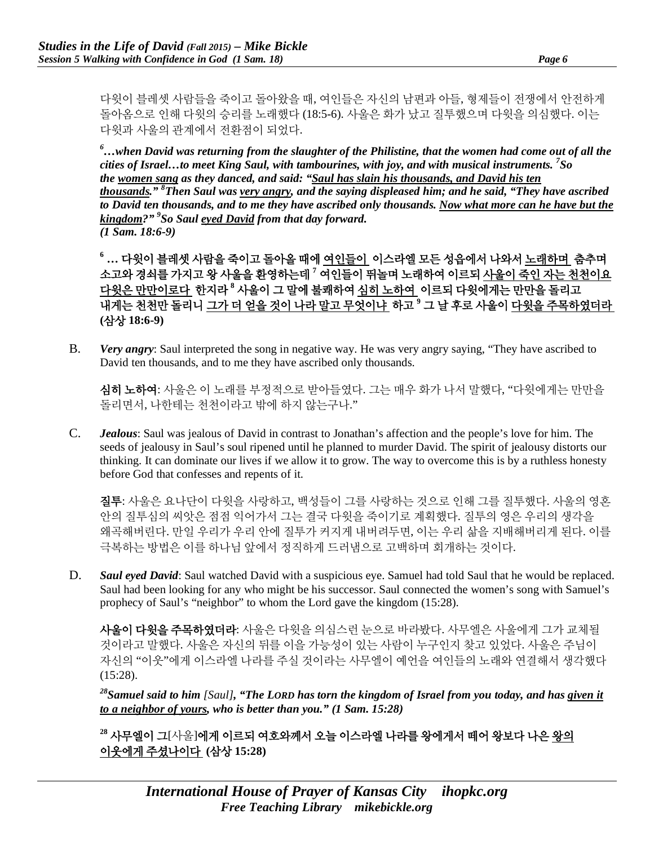다윗이 블레셋 사람들을 죽이고 돌아왔을 때, 여인들은 자신의 남편과 아들, 형제들이 전쟁에서 안전하게 돌아옴으로 인해 다윗의 승리를 노래했다 (18:5-6). 사울은 화가 났고 질투했으며 다윗을 의심했다. 이는 다윗과 사울의 관계에서 전환점이 되었다.

*6 …when David was returning from the slaughter of the Philistine, that the women had come out of all the cities of Israel…to meet King Saul, with tambourines, with joy, and with musical instruments. 7 So the women sang as they danced, and said: "Saul has slain his thousands, and David his ten thousands." 8 Then Saul was very angry, and the saying displeased him; and he said, "They have ascribed to David ten thousands, and to me they have ascribed only thousands. Now what more can he have but the kingdom?" 9 So Saul eyed David from that day forward. (1 Sam. 18:6-9)*

**<sup>6</sup> …** 다윗이 블레셋 사람을 죽이고 돌아올 때에 여인들이 이스라엘 모든 성읍에서 나와서 노래하며 춤추며 소고와 경쇠를 가지고 왕 사울을 환영하는데 **<sup>7</sup>** 여인들이 뛰놀며 노래하여 이르되 사울이 죽인 자는 천천이요 다윗은 만만이로다 한지라 **<sup>8</sup>** 사울이 그 말에 불쾌하여 심히 노하여 이르되 다윗에게는 만만을 돌리고 내게는 천천만 돌리니 그가 더 얻을 것이 나라 말고 무엇이냐 하고 **<sup>9</sup>** 그 날 후로 사울이 다윗을 주목하였더라 **(**삼상 **18:6-9)**

B. *Very angry*: Saul interpreted the song in negative way. He was very angry saying, "They have ascribed to David ten thousands, and to me they have ascribed only thousands.

심히 노하여: 사울은 이 노래를 부정적으로 받아들였다. 그는 매우 화가 나서 말했다, "다윗에게는 만만을 돌리면서, 나한테는 천천이라고 밖에 하지 않는구나."

C. *Jealous*: Saul was jealous of David in contrast to Jonathan's affection and the people's love for him. The seeds of jealousy in Saul's soul ripened until he planned to murder David. The spirit of jealousy distorts our thinking. It can dominate our lives if we allow it to grow. The way to overcome this is by a ruthless honesty before God that confesses and repents of it.

질투: 사울은 요나단이 다윗을 사랑하고, 백성들이 그를 사랑하는 것으로 인해 그를 질투했다. 사울의 영혼 안의 질투심의 씨앗은 점점 익어가서 그는 결국 다윗을 죽이기로 계획했다. 질투의 영은 우리의 생각을 왜곡해버린다. 만일 우리가 우리 안에 질투가 커지게 내버려두면, 이는 우리 삶을 지배해버리게 된다. 이를 극복하는 방법은 이를 하나님 앞에서 정직하게 드러냄으로 고백하며 회개하는 것이다.

D. *Saul eyed David*: Saul watched David with a suspicious eye. Samuel had told Saul that he would be replaced. Saul had been looking for any who might be his successor. Saul connected the women's song with Samuel's prophecy of Saul's "neighbor" to whom the Lord gave the kingdom (15:28).

사울이 다윗을 주목하였더라: 사울은 다윗을 의심스런 눈으로 바라봤다. 사무엘은 사울에게 그가 교체될 것이라고 말했다. 사울은 자신의 뒤를 이을 가능성이 있는 사람이 누구인지 찾고 있었다. 사울은 주님이 자신의 "이웃"에게 이스라엘 나라를 주실 것이라는 사무엘이 예언을 여인들의 노래와 연결해서 생각했다 (15:28).

*28Samuel said to him [Saul], "The LORD has torn the kingdom of Israel from you today, and has given it to a neighbor of yours, who is better than you." (1 Sam. 15:28)* 

**<sup>28</sup>** 사무엘이 그[사울]에게 이르되 여호와께서 오늘 이스라엘 나라를 왕에게서 떼어 왕보다 나은 왕의 이웃에게 주셨나이다 **(**삼상 **15:28)**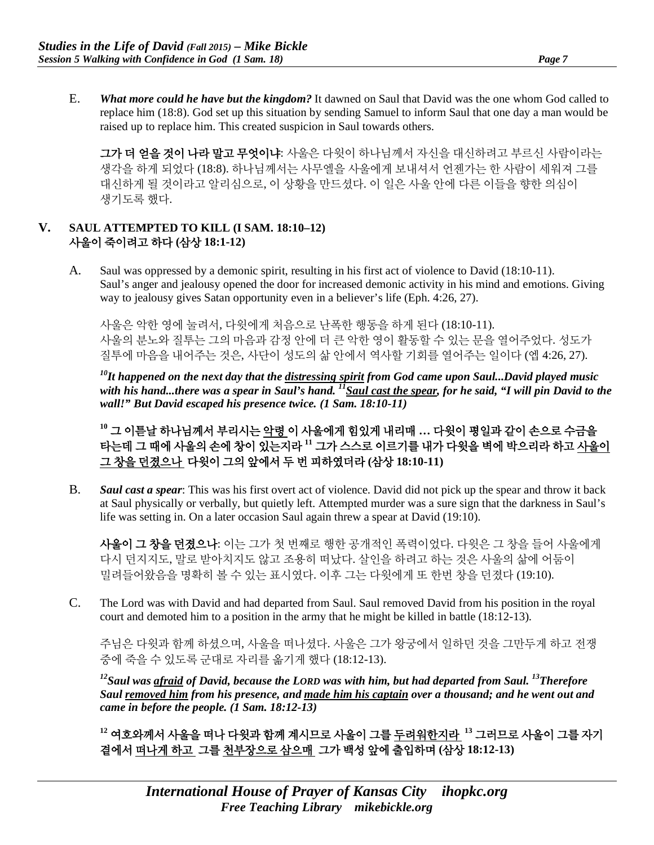E. *What more could he have but the kingdom?* It dawned on Saul that David was the one whom God called to replace him (18:8). God set up this situation by sending Samuel to inform Saul that one day a man would be raised up to replace him. This created suspicion in Saul towards others.

그가 더 얻을 것이 나라 말고 무엇이냐: 사울은 다윗이 하나님께서 자신을 대신하려고 부르신 사람이라는 생각을 하게 되었다 (18:8). 하나님께서는 사무엘을 사울에게 보내셔서 언젠가는 한 사람이 세워져 그를 대신하게 될 것이라고 알리심으로, 이 상황을 만드셨다. 이 일은 사울 안에 다른 이들을 향한 의심이 생기도록 했다.

## **V. SAUL ATTEMPTED TO KILL (I SAM. 18:10–12)** 사울이 죽이려고 하다 **(**삼상 **18:1-12)**

A. Saul was oppressed by a demonic spirit, resulting in his first act of violence to David (18:10-11). Saul's anger and jealousy opened the door for increased demonic activity in his mind and emotions. Giving way to jealousy gives Satan opportunity even in a believer's life (Eph. 4:26, 27).

사울은 악한 영에 눌려서, 다윗에게 처음으로 난폭한 행동을 하게 된다 (18:10-11). 사울의 분노와 질투는 그의 마음과 감정 안에 더 큰 악한 영이 활동할 수 있는 문을 열어주었다. 성도가 질투에 마음을 내어주는 것은, 사단이 성도의 삶 안에서 역사할 기회를 열어주는 일이다 (엡 4:26, 27).

*10It happened on the next day that the distressing spirit from God came upon Saul...David played music*  with his hand...there was a spear in Saul's hand. <sup>11</sup>Saul cast the spear, for he said, "I will pin David to the *wall!" But David escaped his presence twice. (1 Sam. 18:10-11)* 

**<sup>10</sup>** 그 이튿날 하나님께서 부리시는 악령 이 사울에게 힘있게 내리매 **…** 다윗이 평일과 같이 손으로 수금을 타는데 그 때에 사울의 손에 창이 있는지라 **<sup>11</sup>** 그가 스스로 이르기를 내가 다윗을 벽에 박으리라 하고 사울이 그 창을 던졌으나 다윗이 그의 앞에서 두 번 피하였더라 **(**삼상 **18:10-11)**

B. *Saul cast a spear*: This was his first overt act of violence. David did not pick up the spear and throw it back at Saul physically or verbally, but quietly left. Attempted murder was a sure sign that the darkness in Saul's life was setting in. On a later occasion Saul again threw a spear at David (19:10).

사울이 그 창을 던졌으나: 이는 그가 첫 번째로 행한 공개적인 폭력이었다. 다윗은 그 창을 들어 사울에게 다시 던지지도, 말로 받아치지도 않고 조용히 떠났다. 살인을 하려고 하는 것은 사울의 삶에 어둠이 밀려들어왔음을 명확히 볼 수 있는 표시였다. 이후 그는 다윗에게 또 한번 창을 던졌다 (19:10).

C. The Lord was with David and had departed from Saul. Saul removed David from his position in the royal court and demoted him to a position in the army that he might be killed in battle (18:12-13).

주님은 다윗과 함께 하셨으며, 사울을 떠나셨다. 사울은 그가 왕궁에서 일하던 것을 그만두게 하고 전쟁 중에 죽을 수 있도록 군대로 자리를 옮기게 했다 (18:12-13).

*12Saul was afraid of David, because the LORD was with him, but had departed from Saul. 13Therefore Saul removed him from his presence, and made him his captain over a thousand; and he went out and came in before the people. (1 Sam. 18:12-13)* 

**<sup>12</sup>** 여호와께서 사울을 떠나 다윗과 함께 계시므로 사울이 그를 두려워한지라 **<sup>13</sup>** 그러므로 사울이 그를 자기 곁에서 떠나게 하고 그를 천부장으로 삼으매 그가 백성 앞에 출입하며 **(**삼상 **18:12-13)**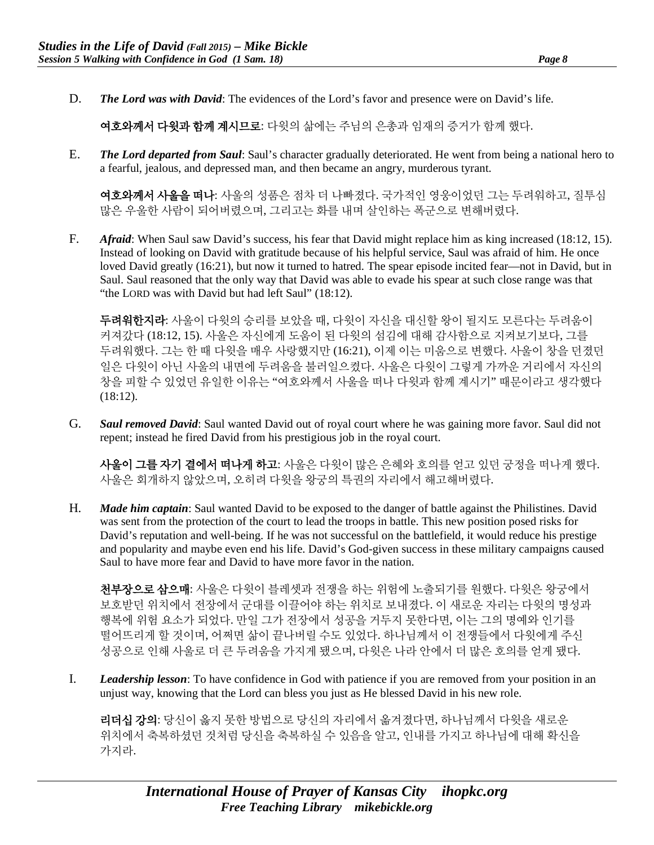D. *The Lord was with David*: The evidences of the Lord's favor and presence were on David's life.

여호와께서 다윗과 함께 계시므로: 다윗의 삶에는 주님의 은총과 임재의 증거가 함께 했다.

E. *The Lord departed from Saul*: Saul's character gradually deteriorated. He went from being a national hero to a fearful, jealous, and depressed man, and then became an angry, murderous tyrant.

여호와께서 사울을 떠나: 사울의 성품은 점차 더 나빠졌다. 국가적인 영웅이었던 그는 두려워하고, 질투심 많은 우울한 사람이 되어버렸으며, 그리고는 화를 내며 살인하는 폭군으로 변해버렸다.

F. *Afraid*: When Saul saw David's success, his fear that David might replace him as king increased (18:12, 15). Instead of looking on David with gratitude because of his helpful service, Saul was afraid of him. He once loved David greatly (16:21), but now it turned to hatred. The spear episode incited fear—not in David, but in Saul. Saul reasoned that the only way that David was able to evade his spear at such close range was that "the LORD was with David but had left Saul" (18:12).

두려워한지라: 사울이 다윗의 승리를 보았을 때, 다윗이 자신을 대신할 왕이 될지도 모른다는 두려움이 커져갔다 (18:12, 15). 사울은 자신에게 도움이 된 다윗의 섬김에 대해 감사함으로 지켜보기보다, 그를 두려워했다. 그는 한 때 다윗을 매우 사랑했지만 (16:21), 이제 이는 미움으로 변했다. 사울이 창을 던졌던 일은 다윗이 아닌 사울의 내면에 두려움을 불러일으켰다. 사울은 다윗이 그렇게 가까운 거리에서 자신의 창을 피할 수 있었던 유일한 이유는 "여호와께서 사울을 떠나 다윗과 함께 계시기" 때문이라고 생각했다  $(18:12)$ .

G. *Saul removed David*: Saul wanted David out of royal court where he was gaining more favor. Saul did not repent; instead he fired David from his prestigious job in the royal court.

사울이 그를 자기 곁에서 떠나게 하고: 사울은 다윗이 많은 은혜와 호의를 얻고 있던 궁정을 떠나게 했다. 사울은 회개하지 않았으며, 오히려 다윗을 왕궁의 특권의 자리에서 해고해버렸다.

H. *Made him captain*: Saul wanted David to be exposed to the danger of battle against the Philistines. David was sent from the protection of the court to lead the troops in battle. This new position posed risks for David's reputation and well-being. If he was not successful on the battlefield, it would reduce his prestige and popularity and maybe even end his life. David's God-given success in these military campaigns caused Saul to have more fear and David to have more favor in the nation.

천부장으로 삼으매: 사울은 다윗이 블레셋과 전쟁을 하는 위험에 노출되기를 원했다. 다윗은 왕궁에서 보호받던 위치에서 전장에서 군대를 이끌어야 하는 위치로 보내졌다. 이 새로운 자리는 다윗의 명성과 행복에 위험 요소가 되었다. 만일 그가 전장에서 성공을 거두지 못한다면, 이는 그의 명예와 인기를 떨어뜨리게 할 것이며, 어쩌면 삶이 끝나버릴 수도 있었다. 하나님께서 이 전쟁들에서 다윗에게 주신 성공으로 인해 사울로 더 큰 두려움을 가지게 됐으며, 다윗은 나라 안에서 더 많은 호의를 얻게 됐다.

I. *Leadership lesson*: To have confidence in God with patience if you are removed from your position in an unjust way, knowing that the Lord can bless you just as He blessed David in his new role.

리더십 강의: 당신이 옳지 못한 방법으로 당신의 자리에서 옮겨졌다면, 하나님께서 다윗을 새로운 위치에서 축복하셨던 것처럼 당신을 축복하실 수 있음을 알고, 인내를 가지고 하나님에 대해 확신을 가지라.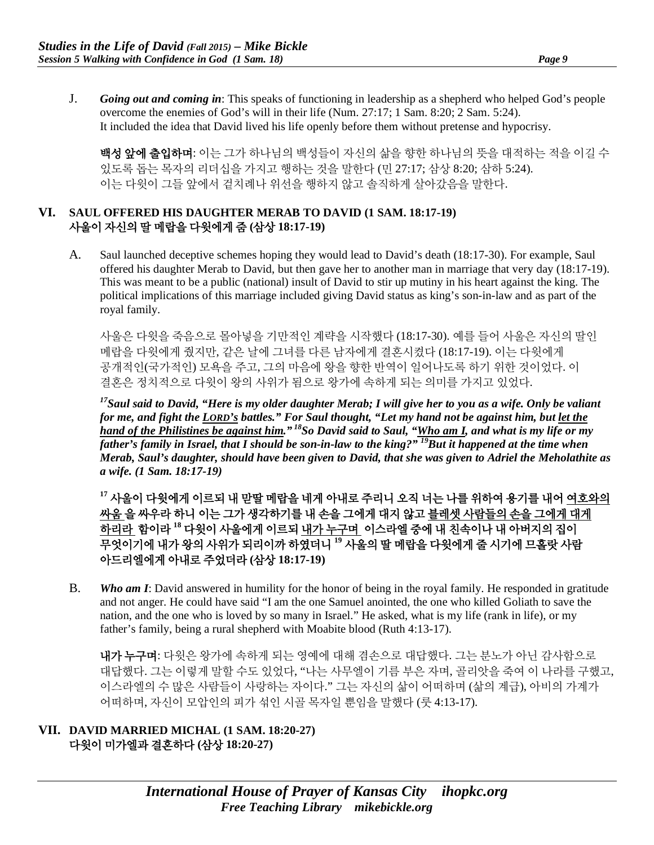J. *Going out and coming in*: This speaks of functioning in leadership as a shepherd who helped God's people overcome the enemies of God's will in their life (Num. 27:17; 1 Sam. 8:20; 2 Sam. 5:24). It included the idea that David lived his life openly before them without pretense and hypocrisy.

백성 앞에 출입하며: 이는 그가 하나님의 백성들이 자신의 삶을 향한 하나님의 뜻을 대적하는 적을 이길 수 있도록 돕는 목자의 리더십을 가지고 행하는 것을 말한다 (민 27:17; 삼상 8:20; 삼하 5:24). 이는 다윗이 그들 앞에서 겉치례나 위선을 행하지 않고 솔직하게 살아갔음을 말한다.

#### **VI. SAUL OFFERED HIS DAUGHTER MERAB TO DAVID (1 SAM. 18:17-19)**  사울이 자신의 딸 메랍을 다윗에게 줌 **(**삼상 **18:17-19)**

A. Saul launched deceptive schemes hoping they would lead to David's death (18:17-30). For example, Saul offered his daughter Merab to David, but then gave her to another man in marriage that very day (18:17-19). This was meant to be a public (national) insult of David to stir up mutiny in his heart against the king. The political implications of this marriage included giving David status as king's son-in-law and as part of the royal family.

사울은 다윗을 죽음으로 몰아넣을 기만적인 계략을 시작했다 (18:17-30). 예를 들어 사울은 자신의 딸인 메랍을 다윗에게 줬지만, 같은 날에 그녀를 다른 남자에게 결혼시켰다 (18:17-19). 이는 다윗에게 공개적인(국가적인) 모욕을 주고, 그의 마음에 왕을 향한 반역이 일어나도록 하기 위한 것이었다. 이 결혼은 정치적으로 다윗이 왕의 사위가 됨으로 왕가에 속하게 되는 의미를 가지고 있었다.

*17Saul said to David, "Here is my older daughter Merab; I will give her to you as a wife. Only be valiant for me, and fight the LORD's battles." For Saul thought, "Let my hand not be against him, but let the hand of the Philistines be against him." 18So David said to Saul, "Who am I, and what is my life or my father's family in Israel, that I should be son-in-law to the king?" 19But it happened at the time when Merab, Saul's daughter, should have been given to David, that she was given to Adriel the Meholathite as a wife. (1 Sam. 18:17-19)*

**<sup>17</sup>** 사울이 다윗에게 이르되 내 맏딸 메랍을 네게 아내로 주리니 오직 너는 나를 위하여 용기를 내어 여호와의 싸움 을 싸우라 하니 이는 그가 생각하기를 내 손을 그에게 대지 않고 블레셋 사람들의 손을 그에게 대게 하리라 함이라 **<sup>18</sup>** 다윗이 사울에게 이르되 내가 누구며 이스라엘 중에 내 친속이나 내 아버지의 집이 무엇이기에 내가 왕의 사위가 되리이까 하였더니 **<sup>19</sup>** 사울의 딸 메랍을 다윗에게 줄 시기에 므홀랏 사람 아드리엘에게 아내로 주었더라 **(**삼상 **18:17-19)**

B. *Who am I*: David answered in humility for the honor of being in the royal family. He responded in gratitude and not anger. He could have said "I am the one Samuel anointed, the one who killed Goliath to save the nation, and the one who is loved by so many in Israel." He asked, what is my life (rank in life), or my father's family, being a rural shepherd with Moabite blood (Ruth 4:13-17).

내가 누구며: 다윗은 왕가에 속하게 되는 영예에 대해 겸손으로 대답했다. 그는 분노가 아닌 감사함으로 대답했다. 그는 이렇게 말할 수도 있었다, "나는 사무엘이 기름 부은 자며, 골리앗을 죽여 이 나라를 구했고, 이스라엘의 수 많은 사람들이 사랑하는 자이다." 그는 자신의 삶이 어떠하며 (삶의 계급), 아비의 가계가 어떠하며, 자신이 모압인의 피가 섞인 시골 목자일 뿐임을 말했다 (룻 4:13-17).

#### **VII. DAVID MARRIED MICHAL (1 SAM. 18:20-27)** 다윗이 미가엘과 결혼하다 **(**삼상 **18:20-27)**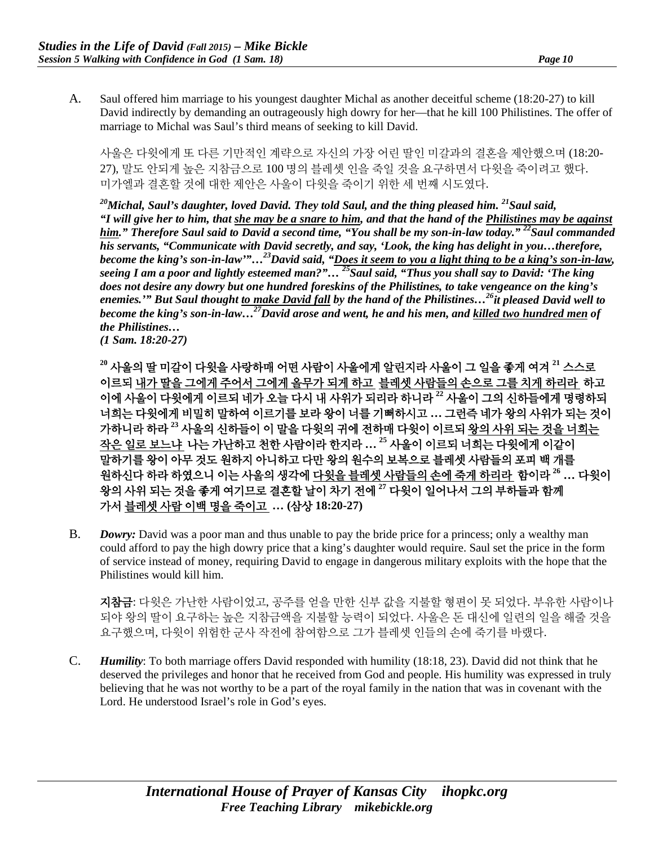A. Saul offered him marriage to his youngest daughter Michal as another deceitful scheme (18:20-27) to kill David indirectly by demanding an outrageously high dowry for her—that he kill 100 Philistines. The offer of marriage to Michal was Saul's third means of seeking to kill David.

사울은 다윗에게 또 다른 기만적인 계략으로 자신의 가장 어린 딸인 미갈과의 결혼을 제안했으며 (18:20- 27), 말도 안되게 높은 지참금으로 100 명의 블레셋 인을 죽일 것을 요구하면서 다윗을 죽이려고 했다. 미가엘과 결혼할 것에 대한 제안은 사울이 다윗을 죽이기 위한 세 번째 시도였다.

*20Michal, Saul's daughter, loved David. They told Saul, and the thing pleased him. 21Saul said, "I will give her to him, that she may be a snare to him, and that the hand of the Philistines may be against him." Therefore Saul said to David a second time, "You shall be my son-in-law today." 22Saul commanded his servants, "Communicate with David secretly, and say, 'Look, the king has delight in you…therefore, become the king's son-in-law'"…23David said, "Does it seem to you a light thing to be a king's son-in-law, seeing I am a poor and lightly esteemed man?"… 25Saul said, "Thus you shall say to David: 'The king does not desire any dowry but one hundred foreskins of the Philistines, to take vengeance on the king's enemies.'" But Saul thought to make David fall by the hand of the Philistines…26it pleased David well to become the king's son-in-law…27David arose and went, he and his men, and killed two hundred men of the Philistines…*

*(1 Sam. 18:20-27)*

**<sup>20</sup>** 사울의 딸 미갈이 다윗을 사랑하매 어떤 사람이 사울에게 알린지라 사울이 그 일을 좋게 여겨 **<sup>21</sup>** 스스로 이르되 내가 딸을 그에게 주어서 그에게 올무가 되게 하고 블레셋 사람들의 손으로 그를 치게 하리라 하고 이에 사울이 다윗에게 이르되 네가 오늘 다시 내 사위가 되리라 하니라 **<sup>22</sup>** 사울이 그의 신하들에게 명령하되 너희는 다윗에게 비밀히 말하여 이르기를 보라 왕이 너를 기뻐하시고 **…** 그런즉 네가 왕의 사위가 되는 것이 가하니라 하라 **<sup>23</sup>** 사울의 신하들이 이 말을 다윗의 귀에 전하매 다윗이 이르되 왕의 사위 되는 것을 너희는 작은 일로 보느냐 나는 가난하고 천한 사람이라 한지라 **… <sup>25</sup>** 사울이 이르되 너희는 다윗에게 이같이 말하기를 왕이 아무 것도 원하지 아니하고 다만 왕의 원수의 보복으로 블레셋 사람들의 포피 백 개를 원하신다 하라 하였으니 이는 사울의 생각에 다윗을 블레셋 사람들의 손에 죽게 하리라 함이라 **<sup>26</sup> …** 다윗이 왕의 사위 되는 것을 좋게 여기므로 결혼할 날이 차기 전에 **<sup>27</sup>** 다윗이 일어나서 그의 부하들과 함께 가서 블레셋 사람 이백 명을 죽이고 **… (**삼상 **18:20-27)**

B. *Dowry:* David was a poor man and thus unable to pay the bride price for a princess; only a wealthy man could afford to pay the high dowry price that a king's daughter would require. Saul set the price in the form of service instead of money, requiring David to engage in dangerous military exploits with the hope that the Philistines would kill him.

지참금: 다윗은 가난한 사람이었고, 공주를 얻을 만한 신부 값을 지불할 형편이 못 되었다. 부유한 사람이나 되야 왕의 딸이 요구하는 높은 지참금액을 지불할 능력이 되었다. 사울은 돈 대신에 일련의 일을 해줄 것을 요구했으며, 다윗이 위험한 군사 작전에 참여함으로 그가 블레셋 인들의 손에 죽기를 바랬다.

C. *Humility*: To both marriage offers David responded with humility (18:18, 23). David did not think that he deserved the privileges and honor that he received from God and people. His humility was expressed in truly believing that he was not worthy to be a part of the royal family in the nation that was in covenant with the Lord. He understood Israel's role in God's eyes.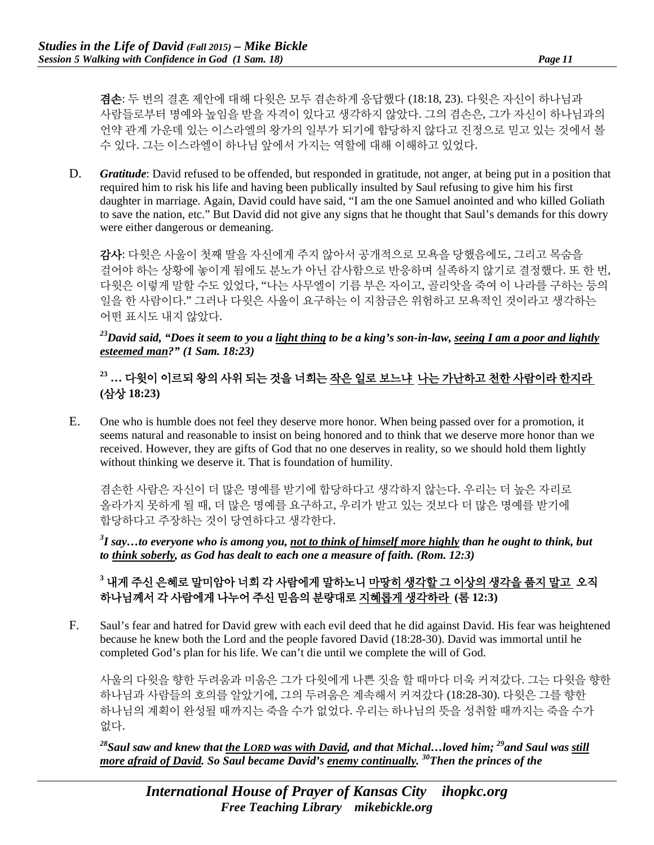겸손: 두 번의 결혼 제안에 대해 다윗은 모두 겸손하게 응답했다 (18:18, 23). 다윗은 자신이 하나님과 사람들로부터 명예와 높임을 받을 자격이 있다고 생각하지 않았다. 그의 겸손은, 그가 자신이 하나님과의 언약 관계 가운데 있는 이스라엘의 왕가의 일부가 되기에 합당하지 않다고 진정으로 믿고 있는 것에서 볼 수 있다. 그는 이스라엘이 하나님 앞에서 가지는 역할에 대해 이해하고 있었다.

D. *Gratitude*: David refused to be offended, but responded in gratitude, not anger, at being put in a position that required him to risk his life and having been publically insulted by Saul refusing to give him his first daughter in marriage. Again, David could have said, "I am the one Samuel anointed and who killed Goliath to save the nation, etc." But David did not give any signs that he thought that Saul's demands for this dowry were either dangerous or demeaning.

감사: 다윗은 사울이 첫째 딸을 자신에게 주지 않아서 공개적으로 모욕을 당했음에도, 그리고 목숨을 걸어야 하는 상황에 놓이게 됨에도 분노가 아닌 감사함으로 반응하며 실족하지 않기로 결정했다. 또 한 번, 다윗은 이렇게 말할 수도 있었다, "나는 사무엘이 기름 부은 자이고, 골리앗을 죽여 이 나라를 구하는 등의 일을 한 사람이다." 그러나 다윗은 사울이 요구하는 이 지참금은 위험하고 모욕적인 것이라고 생각하는 어떤 표시도 내지 않았다.

## *23David said, "Does it seem to you a light thing to be a king's son-in-law, seeing I am a poor and lightly esteemed man?" (1 Sam. 18:23)*

# **<sup>23</sup> …** 다윗이 이르되 왕의 사위 되는 것을 너희는 작은 일로 보느냐 나는 가난하고 천한 사람이라 한지라 **(**삼상 **18:23)**

E. One who is humble does not feel they deserve more honor. When being passed over for a promotion, it seems natural and reasonable to insist on being honored and to think that we deserve more honor than we received. However, they are gifts of God that no one deserves in reality, so we should hold them lightly without thinking we deserve it. That is foundation of humility.

겸손한 사람은 자신이 더 많은 명예를 받기에 합당하다고 생각하지 않는다. 우리는 더 높은 자리로 올라가지 못하게 될 때, 더 많은 명예를 요구하고, 우리가 받고 있는 것보다 더 많은 명예를 받기에 합당하다고 주장하는 것이 당연하다고 생각한다.

*3 I say…to everyone who is among you, not to think of himself more highly than he ought to think, but to think soberly, as God has dealt to each one a measure of faith. (Rom. 12:3)*

# **<sup>3</sup>** 내게 주신 은혜로 말미암아 너희 각 사람에게 말하노니 마땅히 생각할 그 이상의 생각을 품지 말고 오직 하나님께서 각 사람에게 나누어 주신 믿음의 분량대로 지혜롭게 생각하라 **(**롬 **12:3)**

F. Saul's fear and hatred for David grew with each evil deed that he did against David. His fear was heightened because he knew both the Lord and the people favored David (18:28-30). David was immortal until he completed God's plan for his life. We can't die until we complete the will of God.

사울의 다윗을 향한 두려움과 미움은 그가 다윗에게 나쁜 짓을 할 때마다 더욱 커져갔다. 그는 다윗을 향한 하나님과 사람들의 호의를 알았기에, 그의 두려움은 계속해서 커져갔다 (18:28-30). 다윗은 그를 향한 하나님의 계획이 완성될 때까지는 죽을 수가 없었다. 우리는 하나님의 뜻을 성취할 때까지는 죽을 수가 없다.

*28Saul saw and knew that the LORD was with David, and that Michal…loved him; 29and Saul was still more afraid of David. So Saul became David's enemy continually. 30Then the princes of the*